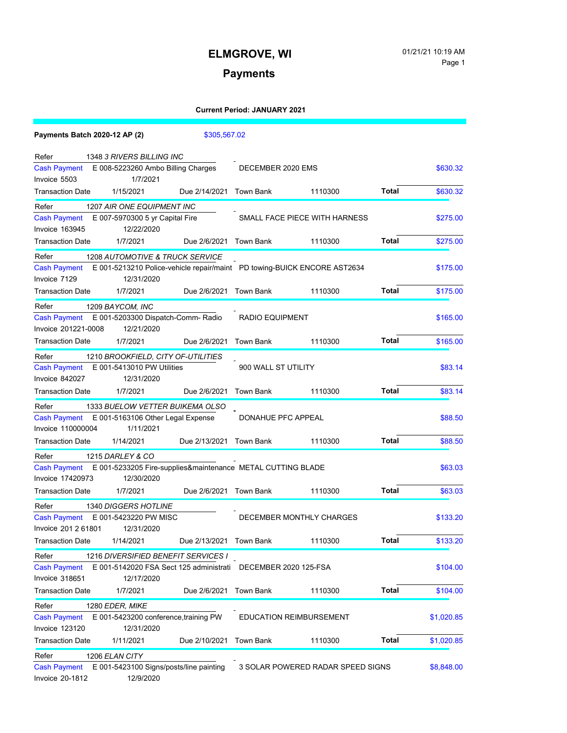### **Payments**

|                              | Payments Batch 2020-12 AP (2) |                                                 | \$305,567.02  |                                                                |                                                                          |              |            |
|------------------------------|-------------------------------|-------------------------------------------------|---------------|----------------------------------------------------------------|--------------------------------------------------------------------------|--------------|------------|
| Refer                        | 1348 3 RIVERS BILLING INC     |                                                 |               |                                                                |                                                                          |              |            |
|                              |                               | Cash Payment E 008-5223260 Ambo Billing Charges |               | DECEMBER 2020 EMS                                              |                                                                          |              | \$630.32   |
| Invoice 5503                 |                               | 1/7/2021                                        |               |                                                                |                                                                          |              |            |
| Transaction Date             | 1/15/2021                     |                                                 |               | Due 2/14/2021 Town Bank                                        | 1110300                                                                  | Total        | \$630.32   |
| Refer                        |                               | 1207 AIR ONE EQUIPMENT INC                      |               |                                                                |                                                                          |              |            |
| <b>Cash Payment</b>          |                               | E 007-5970300 5 yr Capital Fire                 |               |                                                                | SMALL FACE PIECE WITH HARNESS                                            |              | \$275.00   |
| Invoice 163945               |                               | 12/22/2020                                      |               |                                                                |                                                                          |              |            |
| <b>Transaction Date</b>      | 1/7/2021                      |                                                 |               | Due 2/6/2021 Town Bank                                         | 1110300                                                                  | Total        | \$275.00   |
| Refer                        |                               | 1208 AUTOMOTIVE & TRUCK SERVICE                 |               |                                                                |                                                                          |              |            |
| Cash Payment                 |                               |                                                 |               |                                                                | E 001-5213210 Police-vehicle repair/maint PD towing-BUICK ENCORE AST2634 |              | \$175.00   |
| Invoice 7129                 |                               | 12/31/2020                                      |               |                                                                |                                                                          |              |            |
| <b>Transaction Date</b>      | 1/7/2021                      |                                                 |               | Due 2/6/2021 Town Bank                                         | 1110300                                                                  | Total        | \$175.00   |
| Refer                        | 1209 BAYCOM, INC              |                                                 |               |                                                                |                                                                          |              |            |
| <b>Cash Payment</b>          |                               | E 001-5203300 Dispatch-Comm- Radio              |               | <b>RADIO EQUIPMENT</b>                                         |                                                                          |              | \$165.00   |
| Invoice 201221-0008          |                               | 12/21/2020                                      |               |                                                                |                                                                          |              |            |
| <b>Transaction Date</b>      | 1/7/2021                      |                                                 | Due 2/6/2021  | Town Bank                                                      | 1110300                                                                  | Total        | \$165.00   |
| Refer                        |                               | 1210 BROOKFIELD, CITY OF-UTILITIES              |               |                                                                |                                                                          |              |            |
| <b>Cash Payment</b>          | E 001-5413010 PW Utilities    |                                                 |               | 900 WALL ST UTILITY                                            |                                                                          |              | \$83.14    |
| Invoice 842027               |                               | 12/31/2020                                      |               |                                                                |                                                                          |              |            |
| <b>Transaction Date</b>      | 1/7/2021                      |                                                 | Due 2/6/2021  | Town Bank                                                      | 1110300                                                                  | Total        | \$83.14    |
| Refer                        |                               | 1333 BUELOW VETTER BUIKEMA OLSO                 |               |                                                                |                                                                          |              |            |
| Cash Payment                 |                               | E 001-5163106 Other Legal Expense               |               | DONAHUE PFC APPEAL                                             |                                                                          |              | \$88.50    |
| Invoice 110000004            |                               | 1/11/2021                                       |               |                                                                |                                                                          |              |            |
| Transaction Date             | 1/14/2021                     |                                                 |               | Due 2/13/2021 Town Bank                                        | 1110300                                                                  | Total        | \$88.50    |
| Refer                        | 1215 DARLEY & CO              |                                                 |               |                                                                |                                                                          |              |            |
| <b>Cash Payment</b>          |                               |                                                 |               | E 001-5233205 Fire-supplies&maintenance METAL CUTTING BLADE    |                                                                          |              | \$63.03    |
| Invoice 17420973             |                               | 12/30/2020                                      |               |                                                                |                                                                          |              |            |
| <b>Transaction Date</b>      | 1/7/2021                      |                                                 |               | Due 2/6/2021 Town Bank                                         | 1110300                                                                  | Total        | \$63.03    |
| Refer                        | 1340 DIGGERS HOTLINE          |                                                 |               |                                                                |                                                                          |              |            |
| <b>Cash Payment</b>          | E 001-5423220 PW MISC         |                                                 |               |                                                                | DECEMBER MONTHLY CHARGES                                                 |              | \$133.20   |
| Invoice 201 2 61801          |                               | 12/31/2020                                      |               |                                                                |                                                                          |              |            |
| <b>Transaction Date</b>      | 1/14/2021                     |                                                 |               | Due 2/13/2021 Town Bank                                        | 1110300                                                                  | <b>Total</b> | \$133.20   |
| Refer                        |                               | 1216 DIVERSIFIED BENEFIT SERVICES I             |               |                                                                |                                                                          |              |            |
| <b>Cash Payment</b>          |                               |                                                 |               | E 001-5142020 FSA Sect 125 administrati  DECEMBER 2020 125-FSA |                                                                          |              | \$104.00   |
| Invoice 318651               |                               | 12/17/2020                                      |               |                                                                |                                                                          |              |            |
| <b>Transaction Date</b>      | 1/7/2021                      |                                                 | Due 2/6/2021  | <b>Town Bank</b>                                               | 1110300                                                                  | <b>Total</b> | \$104.00   |
|                              | 1280 EDER, MIKE               |                                                 |               |                                                                |                                                                          |              |            |
| Refer<br><b>Cash Payment</b> |                               | E 001-5423200 conference, training PW           |               |                                                                | <b>EDUCATION REIMBURSEMENT</b>                                           |              | \$1,020.85 |
| Invoice 123120               |                               | 12/31/2020                                      |               |                                                                |                                                                          |              |            |
| <b>Transaction Date</b>      | 1/11/2021                     |                                                 | Due 2/10/2021 | <b>Town Bank</b>                                               | 1110300                                                                  | <b>Total</b> | \$1,020.85 |
|                              |                               |                                                 |               |                                                                |                                                                          |              |            |
| Refer<br><b>Cash Payment</b> | 1206 ELAN CITY                | E 001-5423100 Signs/posts/line painting         |               |                                                                | 3 SOLAR POWERED RADAR SPEED SIGNS                                        |              | \$8,848.00 |
| <b>Invoice 20-1812</b>       |                               | 12/9/2020                                       |               |                                                                |                                                                          |              |            |
|                              |                               |                                                 |               |                                                                |                                                                          |              |            |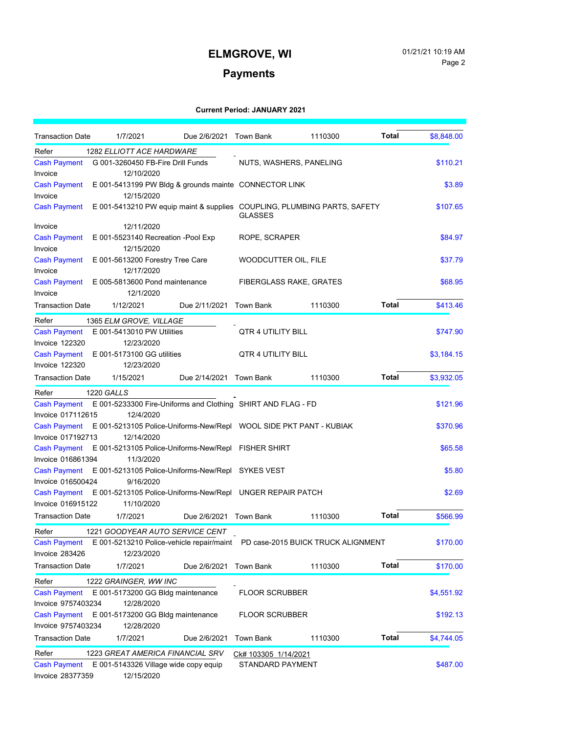### **Payments**

| <b>Transaction Date</b> | 1/7/2021                                                                      | Due 2/6/2021 Town Bank  |                                | 1110300 | Total        | \$8,848.00 |
|-------------------------|-------------------------------------------------------------------------------|-------------------------|--------------------------------|---------|--------------|------------|
| Refer                   | 1282 ELLIOTT ACE HARDWARE                                                     |                         |                                |         |              |            |
| <b>Cash Payment</b>     | G 001-3260450 FB-Fire Drill Funds                                             |                         | NUTS, WASHERS, PANELING        |         |              | \$110.21   |
| Invoice                 | 12/10/2020                                                                    |                         |                                |         |              |            |
| <b>Cash Payment</b>     | E 001-5413199 PW Bldg & grounds mainte CONNECTOR LINK                         |                         |                                |         |              | \$3.89     |
| Invoice                 | 12/15/2020                                                                    |                         |                                |         |              |            |
| <b>Cash Payment</b>     | E 001-5413210 PW equip maint & supplies COUPLING, PLUMBING PARTS, SAFETY      |                         | <b>GLASSES</b>                 |         |              | \$107.65   |
| Invoice                 | 12/11/2020                                                                    |                         |                                |         |              |            |
| <b>Cash Payment</b>     | E 001-5523140 Recreation -Pool Exp                                            |                         | ROPE, SCRAPER                  |         |              | \$84.97    |
| Invoice                 | 12/15/2020                                                                    |                         |                                |         |              |            |
| <b>Cash Payment</b>     | E 001-5613200 Forestry Tree Care                                              |                         | WOODCUTTER OIL, FILE           |         |              | \$37.79    |
| Invoice                 | 12/17/2020                                                                    |                         |                                |         |              |            |
| <b>Cash Payment</b>     | E 005-5813600 Pond maintenance                                                |                         | <b>FIBERGLASS RAKE, GRATES</b> |         |              | \$68.95    |
| Invoice                 | 12/1/2020                                                                     |                         |                                |         |              |            |
| <b>Transaction Date</b> | 1/12/2021                                                                     | Due 2/11/2021           | Town Bank                      | 1110300 | <b>Total</b> | \$413.46   |
| Refer                   | 1365 ELM GROVE, VILLAGE                                                       |                         |                                |         |              |            |
| <b>Cash Payment</b>     | E 001-5413010 PW Utilities                                                    |                         | QTR 4 UTILITY BILL             |         |              | \$747.90   |
| <b>Invoice 122320</b>   | 12/23/2020                                                                    |                         |                                |         |              |            |
| <b>Cash Payment</b>     | E 001-5173100 GG utilities                                                    |                         | QTR 4 UTILITY BILL             |         |              | \$3,184.15 |
| <b>Invoice 122320</b>   | 12/23/2020                                                                    |                         |                                |         |              |            |
| <b>Transaction Date</b> | 1/15/2021                                                                     | Due 2/14/2021 Town Bank |                                | 1110300 | Total        | \$3,932.05 |
| Refer                   | 1220 GALLS                                                                    |                         |                                |         |              |            |
| <b>Cash Payment</b>     | E 001-5233300 Fire-Uniforms and Clothing SHIRT AND FLAG - FD                  |                         |                                |         |              | \$121.96   |
| Invoice 017112615       | 12/4/2020                                                                     |                         |                                |         |              |            |
| <b>Cash Payment</b>     | E 001-5213105 Police-Uniforms-New/Repl WOOL SIDE PKT PANT - KUBIAK            |                         |                                |         |              | \$370.96   |
| Invoice 017192713       | 12/14/2020                                                                    |                         |                                |         |              |            |
| <b>Cash Payment</b>     | E 001-5213105 Police-Uniforms-New/Repl FISHER SHIRT                           |                         |                                |         |              | \$65.58    |
| Invoice 016861394       | 11/3/2020                                                                     |                         |                                |         |              |            |
| <b>Cash Payment</b>     | E 001-5213105 Police-Uniforms-New/Repl SYKES VEST                             |                         |                                |         |              | \$5.80     |
| Invoice 016500424       | 9/16/2020                                                                     |                         |                                |         |              |            |
| <b>Cash Payment</b>     | E 001-5213105 Police-Uniforms-New/Repl UNGER REPAIR PATCH                     |                         |                                |         |              | \$2.69     |
| Invoice 016915122       | 11/10/2020                                                                    |                         |                                |         |              |            |
| <b>Transaction Date</b> | 1/7/2021                                                                      | Due 2/6/2021 Town Bank  |                                | 1110300 | Total        | \$566.99   |
| Refer                   | 1221 GOODYEAR AUTO SERVICE CENT                                               |                         |                                |         |              |            |
| <b>Cash Payment</b>     | E 001-5213210 Police-vehicle repair/maint  PD case-2015 BUICK TRUCK ALIGNMENT |                         |                                |         |              | \$170.00   |
| Invoice 283426          | 12/23/2020                                                                    |                         |                                |         |              |            |
| <b>Transaction Date</b> | 1/7/2021                                                                      | Due 2/6/2021            | <b>Town Bank</b>               | 1110300 | <b>Total</b> | \$170.00   |
| Refer                   | 1222 GRAINGER, WW INC                                                         |                         |                                |         |              |            |
| <b>Cash Payment</b>     | E 001-5173200 GG Bldg maintenance                                             |                         | <b>FLOOR SCRUBBER</b>          |         |              | \$4,551.92 |
| Invoice 9757403234      | 12/28/2020                                                                    |                         |                                |         |              |            |
| <b>Cash Payment</b>     | E 001-5173200 GG Bldg maintenance                                             |                         | <b>FLOOR SCRUBBER</b>          |         |              | \$192.13   |
| Invoice 9757403234      | 12/28/2020                                                                    |                         |                                |         |              |            |
| <b>Transaction Date</b> | 1/7/2021                                                                      | Due 2/6/2021            | <b>Town Bank</b>               | 1110300 | Total        | \$4,744.05 |
| Refer                   | 1223 GREAT AMERICA FINANCIAL SRV                                              |                         | Ck# 103305 1/14/2021           |         |              |            |
| <b>Cash Payment</b>     | E 001-5143326 Village wide copy equip                                         |                         | STANDARD PAYMENT               |         |              | \$487.00   |
| Invoice 28377359        | 12/15/2020                                                                    |                         |                                |         |              |            |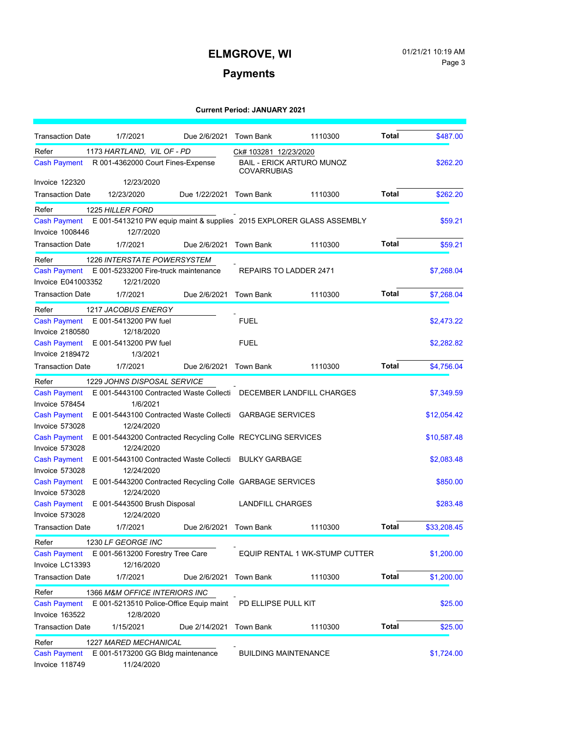### **Payments**

| <b>Transaction Date</b>      | 1/7/2021                                                             | Due 2/6/2021 Town Bank  |                                                                                 | 1110300                        | Total        | \$487.00    |
|------------------------------|----------------------------------------------------------------------|-------------------------|---------------------------------------------------------------------------------|--------------------------------|--------------|-------------|
| Refer<br><b>Cash Payment</b> | 1173 HARTLAND, VIL OF - PD<br>R 001-4362000 Court Fines-Expense      |                         | Ck# 103281 12/23/2020<br><b>BAIL - ERICK ARTURO MUNOZ</b><br><b>COVARRUBIAS</b> |                                |              | \$262.20    |
| <b>Invoice 122320</b>        | 12/23/2020                                                           |                         |                                                                                 |                                |              |             |
| <b>Transaction Date</b>      | 12/23/2020                                                           | Due 1/22/2021 Town Bank |                                                                                 | 1110300                        | Total        | \$262.20    |
| Refer                        | <b>1225 HILLER FORD</b>                                              |                         |                                                                                 |                                |              |             |
| <b>Cash Payment</b>          | E 001-5413210 PW equip maint & supplies 2015 EXPLORER GLASS ASSEMBLY |                         |                                                                                 |                                |              | \$59.21     |
| <b>Invoice 1008446</b>       | 12/7/2020                                                            |                         |                                                                                 |                                |              |             |
| <b>Transaction Date</b>      | 1/7/2021                                                             | Due 2/6/2021 Town Bank  |                                                                                 | 1110300                        | <b>Total</b> | \$59.21     |
| Refer                        | 1226 INTERSTATE POWERSYSTEM                                          |                         |                                                                                 |                                |              |             |
| Cash Payment                 | E 001-5233200 Fire-truck maintenance                                 |                         | REPAIRS TO LADDER 2471                                                          |                                |              | \$7,268.04  |
| Invoice E041003352           | 12/21/2020                                                           |                         |                                                                                 |                                |              |             |
| <b>Transaction Date</b>      | 1/7/2021                                                             | Due 2/6/2021            | Town Bank                                                                       | 1110300                        | Total        | \$7,268.04  |
| Refer                        | 1217 JACOBUS ENERGY                                                  |                         |                                                                                 |                                |              |             |
| <b>Cash Payment</b>          | E 001-5413200 PW fuel                                                |                         | <b>FUEL</b>                                                                     |                                |              | \$2.473.22  |
| <b>Invoice 2180580</b>       | 12/18/2020                                                           |                         |                                                                                 |                                |              |             |
|                              | Cash Payment E 001-5413200 PW fuel                                   |                         | <b>FUEL</b>                                                                     |                                |              | \$2,282.82  |
| <b>Invoice 2189472</b>       | 1/3/2021                                                             |                         |                                                                                 |                                |              |             |
| <b>Transaction Date</b>      | 1/7/2021                                                             | Due 2/6/2021 Town Bank  |                                                                                 | 1110300                        | Total        | \$4,756.04  |
| Refer                        | 1229 JOHNS DISPOSAL SERVICE                                          |                         |                                                                                 |                                |              |             |
| <b>Cash Payment</b>          | E 001-5443100 Contracted Waste Collecti DECEMBER LANDFILL CHARGES    |                         |                                                                                 |                                |              | \$7,349.59  |
| Invoice 578454               | 1/6/2021                                                             |                         |                                                                                 |                                |              |             |
| <b>Cash Payment</b>          | E 001-5443100 Contracted Waste Collecti GARBAGE SERVICES             |                         |                                                                                 |                                |              | \$12,054.42 |
| Invoice 573028               | 12/24/2020                                                           |                         |                                                                                 |                                |              |             |
| <b>Cash Payment</b>          | E 001-5443200 Contracted Recycling Colle RECYCLING SERVICES          |                         |                                                                                 |                                |              | \$10,587.48 |
| Invoice 573028               | 12/24/2020                                                           |                         |                                                                                 |                                |              |             |
| <b>Cash Payment</b>          | E 001-5443100 Contracted Waste Collecti BULKY GARBAGE                |                         |                                                                                 |                                |              | \$2,083.48  |
| Invoice 573028               | 12/24/2020                                                           |                         |                                                                                 |                                |              |             |
| <b>Cash Payment</b>          | E 001-5443200 Contracted Recycling Colle GARBAGE SERVICES            |                         |                                                                                 |                                |              | \$850.00    |
| Invoice 573028               | 12/24/2020                                                           |                         |                                                                                 |                                |              |             |
| <b>Cash Payment</b>          | E 001-5443500 Brush Disposal                                         |                         | <b>LANDFILL CHARGES</b>                                                         |                                |              | \$283.48    |
| Invoice 573028               | 12/24/2020                                                           |                         |                                                                                 |                                |              |             |
| <b>Transaction Date</b>      | 1/7/2021                                                             | Due 2/6/2021 Town Bank  |                                                                                 | 1110300                        | <b>Total</b> | \$33,208.45 |
| Refer                        | 1230 LF GEORGE INC                                                   |                         |                                                                                 |                                |              |             |
| <b>Cash Payment</b>          | E 001-5613200 Forestry Tree Care                                     |                         |                                                                                 | EQUIP RENTAL 1 WK-STUMP CUTTER |              | \$1,200.00  |
| Invoice LC13393              | 12/16/2020                                                           |                         |                                                                                 |                                |              |             |
| <b>Transaction Date</b>      | 1/7/2021                                                             | Due 2/6/2021            | <b>Town Bank</b>                                                                | 1110300                        | Total        | \$1,200.00  |
| Refer                        | 1366 M&M OFFICE INTERIORS INC                                        |                         |                                                                                 |                                |              |             |
| <b>Cash Payment</b>          | E 001-5213510 Police-Office Equip maint                              |                         | PD ELLIPSE PULL KIT                                                             |                                |              | \$25.00     |
| Invoice 163522               | 12/8/2020                                                            |                         |                                                                                 |                                |              |             |
| <b>Transaction Date</b>      | 1/15/2021                                                            | Due 2/14/2021           | Town Bank                                                                       | 1110300                        | <b>Total</b> | \$25.00     |
| Refer                        | 1227 MARED MECHANICAL                                                |                         |                                                                                 |                                |              |             |
| <b>Cash Payment</b>          | E 001-5173200 GG Bldg maintenance                                    |                         | <b>BUILDING MAINTENANCE</b>                                                     |                                |              | \$1,724.00  |
| Invoice 118749               | 11/24/2020                                                           |                         |                                                                                 |                                |              |             |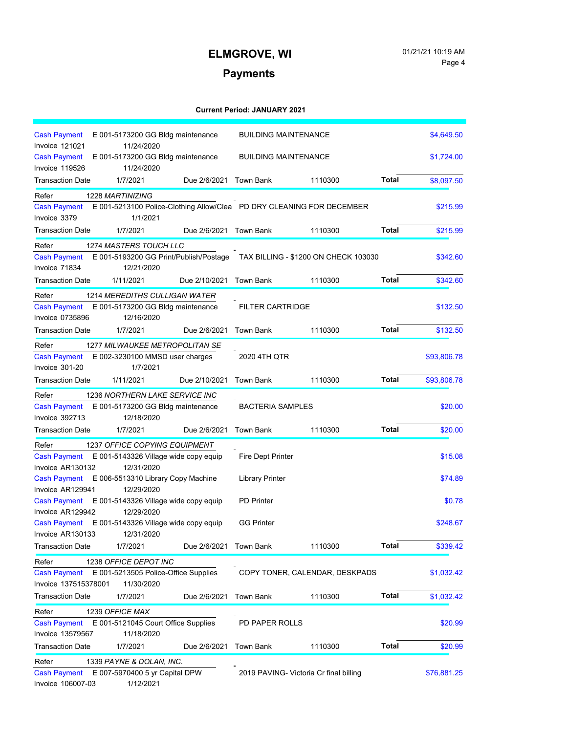# Page 4

## **Payments**

| <b>Cash Payment</b><br>E 001-5173200 GG Bldg maintenance                                                                 | <b>BUILDING MAINTENANCE</b>                                                 |              | \$4,649.50  |
|--------------------------------------------------------------------------------------------------------------------------|-----------------------------------------------------------------------------|--------------|-------------|
| Invoice 121021<br>11/24/2020<br><b>Cash Payment</b><br>E 001-5173200 GG Bldg maintenance<br>Invoice 119526<br>11/24/2020 | <b>BUILDING MAINTENANCE</b>                                                 |              | \$1,724.00  |
| <b>Transaction Date</b><br>1/7/2021<br>Due 2/6/2021                                                                      | <b>Town Bank</b><br>1110300                                                 | <b>Total</b> | \$8,097.50  |
| Refer<br>1228 MARTINIZING                                                                                                |                                                                             |              |             |
| <b>Cash Payment</b><br>Invoice 3379<br>1/1/2021                                                                          | E 001-5213100 Police-Clothing Allow/Clea  PD DRY CLEANING FOR DECEMBER      |              | \$215.99    |
| <b>Transaction Date</b><br>1/7/2021                                                                                      | Due 2/6/2021 Town Bank<br>1110300                                           | <b>Total</b> | \$215.99    |
| 1274 MASTERS TOUCH LLC<br>Refer                                                                                          |                                                                             |              |             |
| <b>Cash Payment</b><br>Invoice 71834<br>12/21/2020                                                                       | E 001-5193200 GG Print/Publish/Postage TAX BILLING - \$1200 ON CHECK 103030 |              | \$342.60    |
| <b>Transaction Date</b><br>1/11/2021<br>Due 2/10/2021                                                                    | <b>Town Bank</b><br>1110300                                                 | <b>Total</b> | \$342.60    |
| Refer<br>1214 MEREDITHS CULLIGAN WATER                                                                                   |                                                                             |              |             |
| <b>Cash Payment</b><br>E 001-5173200 GG Bldg maintenance                                                                 | <b>FILTER CARTRIDGE</b>                                                     |              | \$132.50    |
| <b>Invoice 0735896</b><br>12/16/2020                                                                                     |                                                                             |              |             |
| <b>Transaction Date</b><br>1/7/2021<br>Due 2/6/2021                                                                      | <b>Town Bank</b><br>1110300                                                 | Total        | \$132.50    |
| <b>1277 MILWAUKEE METROPOLITAN SE</b><br>Refer                                                                           |                                                                             |              |             |
| E 002-3230100 MMSD user charges<br><b>Cash Payment</b><br>Invoice 301-20<br>1/7/2021                                     | 2020 4TH QTR                                                                |              | \$93,806.78 |
| <b>Transaction Date</b><br>1/11/2021<br>Due 2/10/2021                                                                    | <b>Town Bank</b><br>1110300                                                 | <b>Total</b> | \$93,806.78 |
| Refer<br>1236 NORTHERN LAKE SERVICE INC                                                                                  |                                                                             |              |             |
| <b>Cash Payment</b><br>E 001-5173200 GG Bldg maintenance                                                                 | <b>BACTERIA SAMPLES</b>                                                     |              | \$20.00     |
| Invoice 392713<br>12/18/2020                                                                                             |                                                                             |              |             |
| <b>Transaction Date</b><br>1/7/2021<br>Due 2/6/2021                                                                      | <b>Town Bank</b><br>1110300                                                 | <b>Total</b> | \$20.00     |
| Refer<br>1237 OFFICE COPYING EQUIPMENT                                                                                   |                                                                             |              |             |
| <b>Cash Payment</b><br>E 001-5143326 Village wide copy equip                                                             | <b>Fire Dept Printer</b>                                                    |              | \$15.08     |
| Invoice AR130132<br>12/31/2020<br>E 006-5513310 Library Copy Machine<br><b>Cash Payment</b>                              | <b>Library Printer</b>                                                      |              | \$74.89     |
| Invoice AR129941<br>12/29/2020                                                                                           |                                                                             |              |             |
| <b>Cash Payment</b><br>E 001-5143326 Village wide copy equip                                                             | <b>PD</b> Printer                                                           |              | \$0.78      |
| Invoice AR129942<br>12/29/2020                                                                                           |                                                                             |              |             |
| E 001-5143326 Village wide copy equip<br><b>Cash Payment</b><br>Invoice AR130133<br>12/31/2020                           | <b>GG Printer</b>                                                           |              | \$248.67    |
| <b>Transaction Date</b><br>1/7/2021<br>Due 2/6/2021                                                                      | Town Bank<br>1110300                                                        | <b>Total</b> | \$339.42    |
| Refer<br>1238 OFFICE DEPOT INC                                                                                           |                                                                             |              |             |
| E 001-5213505 Police-Office Supplies<br><b>Cash Payment</b>                                                              | COPY TONER, CALENDAR, DESKPADS                                              |              | \$1,032.42  |
| Invoice 137515378001<br>11/30/2020                                                                                       |                                                                             |              |             |
| <b>Transaction Date</b><br>1/7/2021<br>Due 2/6/2021                                                                      | <b>Town Bank</b><br>1110300                                                 | <b>Total</b> | \$1,032.42  |
| Refer<br>1239 OFFICE MAX                                                                                                 |                                                                             |              |             |
| E 001-5121045 Court Office Supplies<br><b>Cash Payment</b>                                                               | PD PAPER ROLLS                                                              |              | \$20.99     |
| Invoice 13579567<br>11/18/2020                                                                                           |                                                                             |              |             |
| <b>Transaction Date</b><br>1/7/2021<br>Due 2/6/2021                                                                      | <b>Town Bank</b><br>1110300                                                 | Total        | \$20.99     |
| Refer<br>1339 PAYNE & DOLAN, INC.                                                                                        |                                                                             |              |             |
| E 007-5970400 5 yr Capital DPW<br><b>Cash Payment</b><br>Invoice 106007-03<br>1/12/2021                                  | 2019 PAVING- Victoria Cr final billing                                      |              | \$76,881.25 |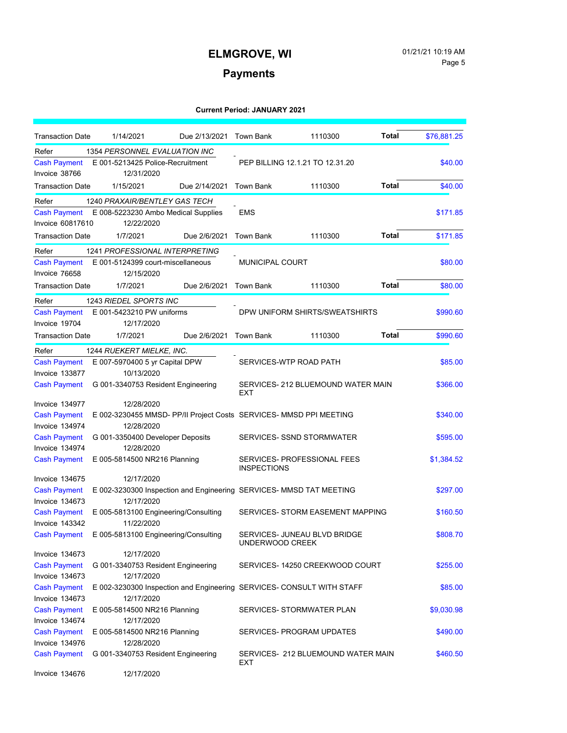# Page 5

### **Payments**

| <b>Transaction Date</b>              | 1/14/2021                                                             | Due 2/13/2021 | Town Bank              | 1110300                            | Total | \$76,881.25 |
|--------------------------------------|-----------------------------------------------------------------------|---------------|------------------------|------------------------------------|-------|-------------|
| Refer                                | 1354 PERSONNEL EVALUATION INC                                         |               |                        |                                    |       |             |
| <b>Cash Payment</b><br>Invoice 38766 | E 001-5213425 Police-Recruitment<br>12/31/2020                        |               |                        | PEP BILLING 12.1.21 TO 12.31.20    |       | \$40.00     |
| <b>Transaction Date</b>              | 1/15/2021                                                             | Due 2/14/2021 | <b>Town Bank</b>       | 1110300                            | Total | \$40.00     |
| Refer                                | 1240 PRAXAIR/BENTLEY GAS TECH                                         |               |                        |                                    |       |             |
| <b>Cash Payment</b>                  | E 008-5223230 Ambo Medical Supplies                                   |               | <b>EMS</b>             |                                    |       | \$171.85    |
| Invoice 60817610                     | 12/22/2020                                                            |               |                        |                                    |       |             |
| <b>Transaction Date</b>              | 1/7/2021                                                              | Due 2/6/2021  | <b>Town Bank</b>       | 1110300                            | Total | \$171.85    |
| Refer                                | <b>1241 PROFESSIONAL INTERPRETING</b>                                 |               |                        |                                    |       |             |
| <b>Cash Payment</b>                  | E 001-5124399 court-miscellaneous                                     |               | <b>MUNICIPAL COURT</b> |                                    |       | \$80.00     |
| Invoice 76658                        | 12/15/2020                                                            |               |                        |                                    |       |             |
| <b>Transaction Date</b>              | 1/7/2021                                                              | Due 2/6/2021  | <b>Town Bank</b>       | 1110300                            | Total | \$80.00     |
| Refer                                | 1243 RIEDEL SPORTS INC                                                |               |                        |                                    |       |             |
| <b>Cash Payment</b>                  | E 001-5423210 PW uniforms                                             |               |                        | DPW UNIFORM SHIRTS/SWEATSHIRTS     |       | \$990.60    |
| Invoice 19704                        | 12/17/2020                                                            |               |                        |                                    |       |             |
| <b>Transaction Date</b>              | 1/7/2021                                                              | Due 2/6/2021  | <b>Town Bank</b>       | 1110300                            | Total | \$990.60    |
| Refer                                | 1244 RUEKERT MIELKE, INC.                                             |               |                        |                                    |       |             |
| <b>Cash Payment</b>                  | E 007-5970400 5 yr Capital DPW                                        |               | SERVICES-WTP ROAD PATH |                                    |       | \$85.00     |
| Invoice 133877                       | 10/13/2020                                                            |               |                        |                                    |       |             |
| <b>Cash Payment</b>                  | G 001-3340753 Resident Engineering                                    |               | <b>EXT</b>             | SERVICES- 212 BLUEMOUND WATER MAIN |       | \$366.00    |
| Invoice 134977                       | 12/28/2020                                                            |               |                        |                                    |       |             |
| <b>Cash Payment</b>                  | E 002-3230455 MMSD- PP/II Project Costs SERVICES- MMSD PPI MEETING    |               |                        |                                    |       | \$340.00    |
| Invoice 134974                       | 12/28/2020                                                            |               |                        |                                    |       |             |
| <b>Cash Payment</b>                  | G 001-3350400 Developer Deposits                                      |               |                        | SERVICES- SSND STORMWATER          |       | \$595.00    |
| Invoice 134974                       | 12/28/2020                                                            |               |                        |                                    |       |             |
| <b>Cash Payment</b>                  | E 005-5814500 NR216 Planning                                          |               | <b>INSPECTIONS</b>     | SERVICES- PROFESSIONAL FEES        |       | \$1,384.52  |
| Invoice 134675                       | 12/17/2020                                                            |               |                        |                                    |       |             |
| <b>Cash Payment</b>                  | E 002-3230300 Inspection and Engineering SERVICES- MMSD TAT MEETING   |               |                        |                                    |       | \$297.00    |
| Invoice 134673                       | 12/17/2020                                                            |               |                        |                                    |       |             |
| <b>Cash Payment</b>                  | E 005-5813100 Engineering/Consulting                                  |               |                        | SERVICES- STORM EASEMENT MAPPING   |       | \$160.50    |
| Invoice 143342                       | 11/22/2020                                                            |               |                        |                                    |       |             |
| <b>Cash Payment</b>                  | E 005-5813100 Engineering/Consulting                                  |               | UNDERWOOD CREEK        | SERVICES- JUNEAU BLVD BRIDGE       |       | \$808.70    |
| Invoice 134673                       | 12/17/2020                                                            |               |                        |                                    |       |             |
| <b>Cash Payment</b>                  | G 001-3340753 Resident Engineering                                    |               |                        | SERVICES- 14250 CREEKWOOD COURT    |       | \$255.00    |
| Invoice 134673                       | 12/17/2020                                                            |               |                        |                                    |       |             |
| <b>Cash Payment</b>                  | E 002-3230300 Inspection and Engineering SERVICES- CONSULT WITH STAFF |               |                        |                                    |       | \$85.00     |
| Invoice 134673                       | 12/17/2020                                                            |               |                        |                                    |       |             |
| <b>Cash Payment</b>                  | E 005-5814500 NR216 Planning                                          |               |                        | SERVICES- STORMWATER PLAN          |       | \$9,030.98  |
| Invoice 134674                       | 12/17/2020                                                            |               |                        |                                    |       |             |
| <b>Cash Payment</b>                  | E 005-5814500 NR216 Planning                                          |               |                        | SERVICES- PROGRAM UPDATES          |       | \$490.00    |
| Invoice 134976                       | 12/28/2020                                                            |               |                        |                                    |       |             |
| <b>Cash Payment</b>                  | G 001-3340753 Resident Engineering                                    |               | EXT                    | SERVICES- 212 BLUEMOUND WATER MAIN |       | \$460.50    |
| Invoice 134676                       | 12/17/2020                                                            |               |                        |                                    |       |             |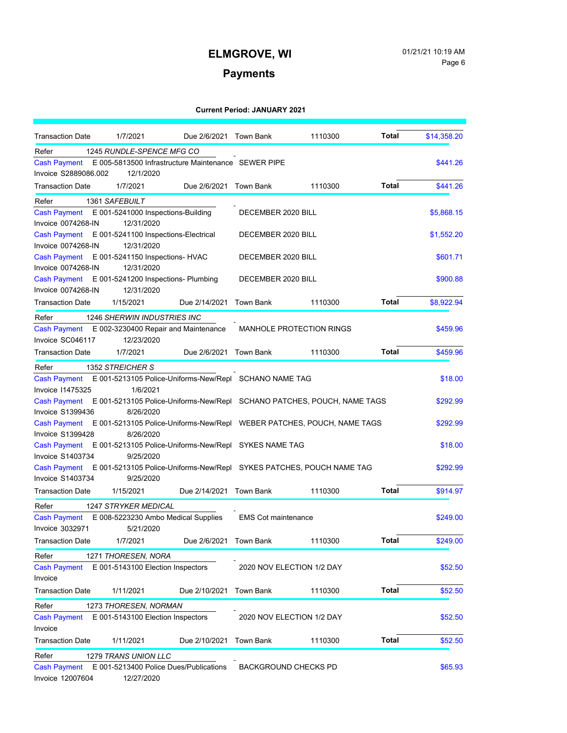### **Payments**

| <b>Transaction Date</b>                                                              | 1/7/2021                                                         | Due 2/6/2021 Town Bank  |                             | 1110300                         | <b>Total</b> | \$14,358.20 |
|--------------------------------------------------------------------------------------|------------------------------------------------------------------|-------------------------|-----------------------------|---------------------------------|--------------|-------------|
| Refer                                                                                | 1245 RUNDLE-SPENCE MFG CO                                        |                         |                             |                                 |              |             |
| <b>Cash Payment</b><br>Invoice S2889086.002                                          | E 005-5813500 Infrastructure Maintenance SEWER PIPE<br>12/1/2020 |                         |                             |                                 |              | \$441.26    |
| Transaction Date                                                                     | 1/7/2021                                                         | Due 2/6/2021 Town Bank  |                             | 1110300                         | Total        | \$441.26    |
| Refer                                                                                | 1361 SAFEBUILT                                                   |                         |                             |                                 |              |             |
| <b>Cash Payment</b>                                                                  | E 001-5241000 Inspections-Building                               |                         | DECEMBER 2020 BILL          |                                 |              | \$5,868.15  |
| Invoice 0074268-IN                                                                   | 12/31/2020                                                       |                         |                             |                                 |              |             |
| <b>Cash Payment</b>                                                                  | E 001-5241100 Inspections-Electrical                             |                         | DECEMBER 2020 BILL          |                                 |              | \$1,552.20  |
| Invoice 0074268-IN                                                                   | 12/31/2020                                                       |                         |                             |                                 |              |             |
| <b>Cash Payment</b>                                                                  | E 001-5241150 Inspections- HVAC                                  |                         | DECEMBER 2020 BILL          |                                 |              | \$601.71    |
| Invoice 0074268-IN                                                                   | 12/31/2020                                                       |                         |                             |                                 |              |             |
| Cash Payment E 001-5241200 Inspections- Plumbing                                     |                                                                  |                         | DECEMBER 2020 BILL          |                                 |              | \$900.88    |
| Invoice 0074268-IN                                                                   | 12/31/2020                                                       |                         |                             |                                 |              |             |
| Transaction Date                                                                     | 1/15/2021                                                        | Due 2/14/2021           | <b>Town Bank</b>            | 1110300                         | Total        | \$8,922.94  |
| Refer                                                                                | 1246 SHERWIN INDUSTRIES INC                                      |                         |                             |                                 |              |             |
| <b>Cash Payment</b>                                                                  | E 002-3230400 Repair and Maintenance                             |                         |                             | <b>MANHOLE PROTECTION RINGS</b> |              | \$459.96    |
| Invoice SC046117                                                                     | 12/23/2020                                                       |                         |                             |                                 |              |             |
| <b>Transaction Date</b>                                                              | 1/7/2021                                                         | Due 2/6/2021 Town Bank  |                             | 1110300                         | Total        | \$459.96    |
| Refer                                                                                | 1352 STREICHER S                                                 |                         |                             |                                 |              |             |
| <b>Cash Payment</b>                                                                  | E 001-5213105 Police-Uniforms-New/Repl SCHANO NAME TAG           |                         |                             |                                 |              | \$18.00     |
| <b>Invoice 11475325</b>                                                              | 1/6/2021                                                         |                         |                             |                                 |              |             |
| Cash Payment E 001-5213105 Police-Uniforms-New/Repl SCHANO PATCHES, POUCH, NAME TAGS |                                                                  |                         |                             |                                 |              | \$292.99    |
| Invoice S1399436                                                                     | 8/26/2020                                                        |                         |                             |                                 |              |             |
| Cash Payment E 001-5213105 Police-Uniforms-New/Repl WEBER PATCHES, POUCH, NAME TAGS  |                                                                  |                         |                             |                                 |              | \$292.99    |
| Invoice S1399428                                                                     | 8/26/2020                                                        |                         |                             |                                 |              |             |
| Cash Payment E 001-5213105 Police-Uniforms-New/Repl SYKES NAME TAG                   |                                                                  |                         |                             |                                 |              | \$18.00     |
| Invoice S1403734                                                                     | 9/25/2020                                                        |                         |                             |                                 |              |             |
| Cash Payment E 001-5213105 Police-Uniforms-New/Repl SYKES PATCHES, POUCH NAME TAG    |                                                                  |                         |                             |                                 |              | \$292.99    |
| Invoice S1403734                                                                     | 9/25/2020                                                        |                         |                             |                                 |              |             |
| <b>Transaction Date</b>                                                              | 1/15/2021                                                        | Due 2/14/2021 Town Bank |                             | 1110300                         | <b>Total</b> | \$914.97    |
| Refer                                                                                | <b>1247 STRYKER MEDICAL</b>                                      |                         |                             |                                 |              |             |
| <b>Cash Payment</b>                                                                  | E 008-5223230 Ambo Medical Supplies                              |                         | <b>EMS Cot maintenance</b>  |                                 |              | \$249.00    |
| <b>Invoice 3032971</b>                                                               | 5/21/2020                                                        |                         |                             |                                 |              |             |
| Transaction Date                                                                     | 1/7/2021                                                         | Due 2/6/2021            | Town Bank                   | 1110300                         | Total        | \$249.00    |
| Refer                                                                                | 1271 THORESEN, NORA                                              |                         |                             |                                 |              |             |
| <b>Cash Payment</b>                                                                  | E 001-5143100 Election Inspectors                                |                         | 2020 NOV ELECTION 1/2 DAY   |                                 |              | \$52.50     |
| Invoice                                                                              |                                                                  |                         |                             |                                 |              |             |
| <b>Transaction Date</b>                                                              | 1/11/2021                                                        | Due 2/10/2021           | <b>Town Bank</b>            | 1110300                         | <b>Total</b> | \$52.50     |
| Refer                                                                                | 1273 THORESEN, NORMAN                                            |                         |                             |                                 |              |             |
| <b>Cash Payment</b>                                                                  | E 001-5143100 Election Inspectors                                |                         | 2020 NOV ELECTION 1/2 DAY   |                                 |              | \$52.50     |
| Invoice                                                                              |                                                                  |                         |                             |                                 |              |             |
| <b>Transaction Date</b>                                                              | 1/11/2021                                                        | Due 2/10/2021           | <b>Town Bank</b>            | 1110300                         | <b>Total</b> | \$52.50     |
| Refer                                                                                | 1279 TRANS UNION LLC                                             |                         |                             |                                 |              |             |
| <b>Cash Payment</b>                                                                  | E 001-5213400 Police Dues/Publications                           |                         | <b>BACKGROUND CHECKS PD</b> |                                 |              | \$65.93     |
| Invoice 12007604                                                                     | 12/27/2020                                                       |                         |                             |                                 |              |             |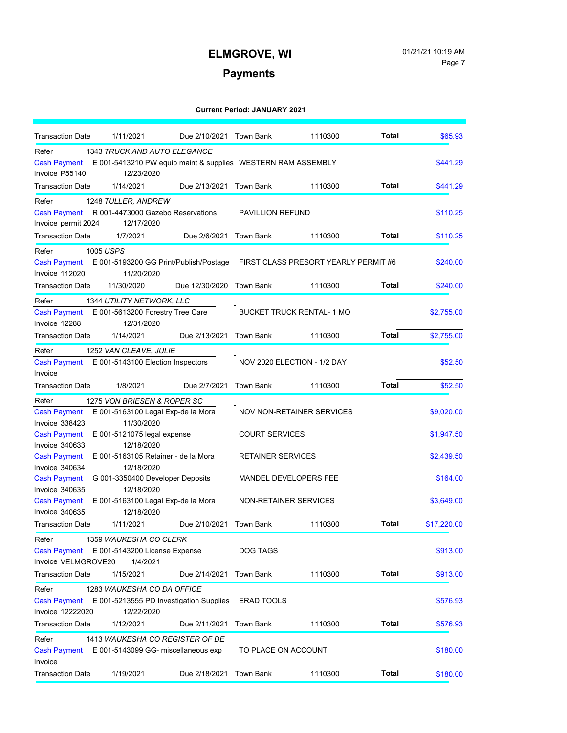# Page 7

### **Payments**

| <b>Transaction Date</b>               | 1/11/2021                               | Due 2/10/2021 Town Bank |                                                                             | 1110300 | <b>Total</b> | \$65.93     |
|---------------------------------------|-----------------------------------------|-------------------------|-----------------------------------------------------------------------------|---------|--------------|-------------|
| Refer                                 | 1343 TRUCK AND AUTO ELEGANCE            |                         |                                                                             |         |              |             |
| <b>Cash Payment</b><br>Invoice P55140 | 12/23/2020                              |                         | E 001-5413210 PW equip maint & supplies WESTERN RAM ASSEMBLY                |         |              | \$441.29    |
| <b>Transaction Date</b>               | 1/14/2021                               | Due 2/13/2021 Town Bank |                                                                             | 1110300 | <b>Total</b> | \$441.29    |
| Refer                                 | 1248 TULLER, ANDREW                     |                         |                                                                             |         |              |             |
| <b>Cash Payment</b>                   | R 001-4473000 Gazebo Reservations       |                         | <b>PAVILLION REFUND</b>                                                     |         |              | \$110.25    |
| Invoice permit 2024                   | 12/17/2020                              |                         |                                                                             |         |              |             |
| <b>Transaction Date</b>               | 1/7/2021                                | Due 2/6/2021            | Town Bank                                                                   | 1110300 | <b>Total</b> | \$110.25    |
| 1005 USPS<br>Refer                    |                                         |                         |                                                                             |         |              |             |
| <b>Cash Payment</b>                   |                                         |                         | E 001-5193200 GG Print/Publish/Postage FIRST CLASS PRESORT YEARLY PERMIT #6 |         |              | \$240.00    |
| Invoice 112020                        | 11/20/2020                              |                         |                                                                             |         |              |             |
| <b>Transaction Date</b>               | 11/30/2020                              | Due 12/30/2020          | Town Bank                                                                   | 1110300 | <b>Total</b> | \$240.00    |
| Refer                                 | 1344 UTILITY NETWORK, LLC               |                         |                                                                             |         |              |             |
| <b>Cash Payment</b>                   | E 001-5613200 Forestry Tree Care        |                         | <b>BUCKET TRUCK RENTAL-1 MO</b>                                             |         |              | \$2,755.00  |
| Invoice 12288                         | 12/31/2020                              |                         |                                                                             |         |              |             |
| <b>Transaction Date</b>               | 1/14/2021                               | Due 2/13/2021           | <b>Town Bank</b>                                                            | 1110300 | <b>Total</b> | \$2,755.00  |
| Refer                                 | 1252 VAN CLEAVE, JULIE                  |                         |                                                                             |         |              |             |
| <b>Cash Payment</b>                   | E 001-5143100 Election Inspectors       |                         | NOV 2020 ELECTION - 1/2 DAY                                                 |         |              | \$52.50     |
| Invoice                               |                                         |                         |                                                                             |         |              |             |
| <b>Transaction Date</b>               | 1/8/2021                                | Due 2/7/2021            | <b>Town Bank</b>                                                            | 1110300 | <b>Total</b> | \$52.50     |
| Refer                                 | 1275 VON BRIESEN & ROPER SC             |                         |                                                                             |         |              |             |
| <b>Cash Payment</b>                   | E 001-5163100 Legal Exp-de la Mora      |                         | <b>NOV NON-RETAINER SERVICES</b>                                            |         |              | \$9,020.00  |
| Invoice 338423                        | 11/30/2020                              |                         |                                                                             |         |              |             |
| <b>Cash Payment</b>                   | E 001-5121075 legal expense             |                         | <b>COURT SERVICES</b>                                                       |         |              | \$1,947.50  |
| Invoice 340633                        | 12/18/2020                              |                         |                                                                             |         |              |             |
| <b>Cash Payment</b>                   | E 001-5163105 Retainer - de la Mora     |                         | RETAINER SERVICES                                                           |         |              | \$2,439.50  |
| Invoice 340634                        | 12/18/2020                              |                         |                                                                             |         |              |             |
| <b>Cash Payment</b>                   | G 001-3350400 Developer Deposits        |                         | MANDEL DEVELOPERS FEE                                                       |         |              | \$164.00    |
| Invoice 340635                        | 12/18/2020                              |                         |                                                                             |         |              |             |
| <b>Cash Payment</b>                   | E 001-5163100 Legal Exp-de la Mora      |                         | NON-RETAINER SERVICES                                                       |         |              | \$3,649.00  |
| Invoice 340635                        | 12/18/2020                              |                         |                                                                             |         |              |             |
| <b>Transaction Date</b>               | 1/11/2021                               | Due 2/10/2021           | <b>Town Bank</b>                                                            | 1110300 | <b>Total</b> | \$17,220.00 |
| Refer                                 | 1359 WAUKESHA CO CLERK                  |                         |                                                                             |         |              |             |
| Cash Payment                          | E 001-5143200 License Expense           |                         | DOG TAGS                                                                    |         |              | \$913.00    |
| Invoice VELMGROVE20                   | 1/4/2021                                |                         |                                                                             |         |              |             |
| <b>Transaction Date</b>               | 1/15/2021                               | Due 2/14/2021           | <b>Town Bank</b>                                                            | 1110300 | <b>Total</b> | \$913.00    |
| Refer                                 | 1283 WAUKESHA CO DA OFFICE              |                         |                                                                             |         |              |             |
| <b>Cash Payment</b>                   | E 001-5213555 PD Investigation Supplies |                         | ERAD TOOLS                                                                  |         |              | \$576.93    |
| Invoice 12222020                      | 12/22/2020                              |                         |                                                                             |         |              |             |
| <b>Transaction Date</b>               | 1/12/2021                               | Due 2/11/2021           | <b>Town Bank</b>                                                            | 1110300 | <b>Total</b> | \$576.93    |
| Refer                                 | 1413 WAUKESHA CO REGISTER OF DE         |                         |                                                                             |         |              |             |
| <b>Cash Payment</b>                   | E 001-5143099 GG- miscellaneous exp     |                         | TO PLACE ON ACCOUNT                                                         |         |              | \$180.00    |
| Invoice                               |                                         |                         |                                                                             |         |              |             |
| <b>Transaction Date</b>               | 1/19/2021                               | Due 2/18/2021           | <b>Town Bank</b>                                                            | 1110300 | <b>Total</b> | \$180.00    |